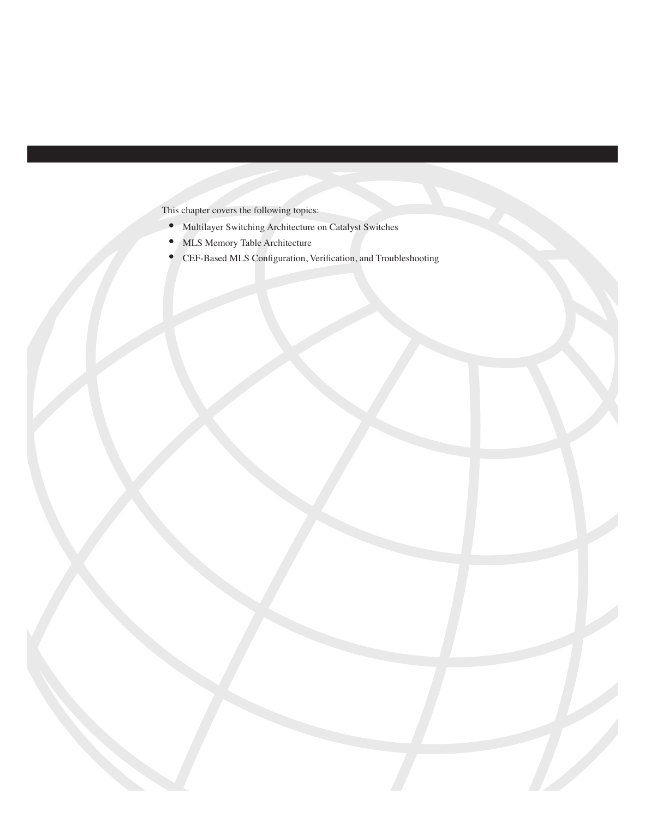This chapter covers the following topics:

- Multilayer Switching Architecture on Catalyst Switches
- MLS Memory Table Architecture
- CEF-Based MLS Configuration, Verification, and Troubleshooting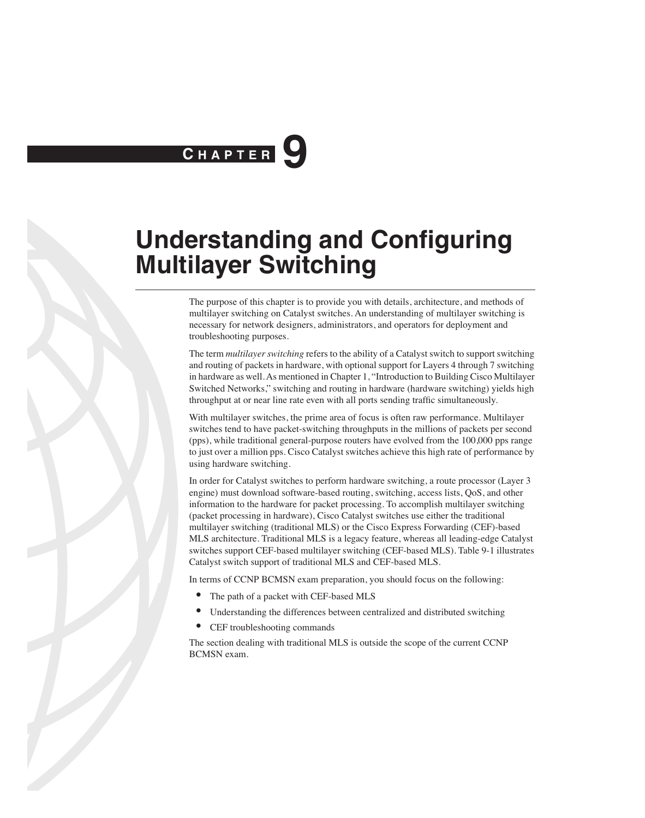# **C H <sup>A</sup> <sup>P</sup> <sup>T</sup> <sup>E</sup> <sup>R</sup> 9**

## **Understanding and Configuring Multilayer Switching**

The purpose of this chapter is to provide you with details, architecture, and methods of multilayer switching on Catalyst switches. An understanding of multilayer switching is necessary for network designers, administrators, and operators for deployment and troubleshooting purposes.

The term *multilayer switching* refers to the ability of a Catalyst switch to support switching and routing of packets in hardware, with optional support for Layers 4 through 7 switching in hardware as well. As mentioned in Chapter 1, "Introduction to Building Cisco Multilayer Switched Networks," switching and routing in hardware (hardware switching) yields high throughput at or near line rate even with all ports sending traffic simultaneously.

With multilayer switches, the prime area of focus is often raw performance. Multilayer switches tend to have packet-switching throughputs in the millions of packets per second (pps), while traditional general-purpose routers have evolved from the 100,000 pps range to just over a million pps. Cisco Catalyst switches achieve this high rate of performance by using hardware switching.

In order for Catalyst switches to perform hardware switching, a route processor (Layer 3 engine) must download software-based routing, switching, access lists, QoS, and other information to the hardware for packet processing. To accomplish multilayer switching (packet processing in hardware), Cisco Catalyst switches use either the traditional multilayer switching (traditional MLS) or the Cisco Express Forwarding (CEF)-based MLS architecture. Traditional MLS is a legacy feature, whereas all leading-edge Catalyst switches support CEF-based multilayer switching (CEF-based MLS). Table 9-1 illustrates Catalyst switch support of traditional MLS and CEF-based MLS.

In terms of CCNP BCMSN exam preparation, you should focus on the following:

- The path of a packet with CEF-based MLS
- Understanding the differences between centralized and distributed switching
- CEF troubleshooting commands

The section dealing with traditional MLS is outside the scope of the current CCNP BCMSN exam.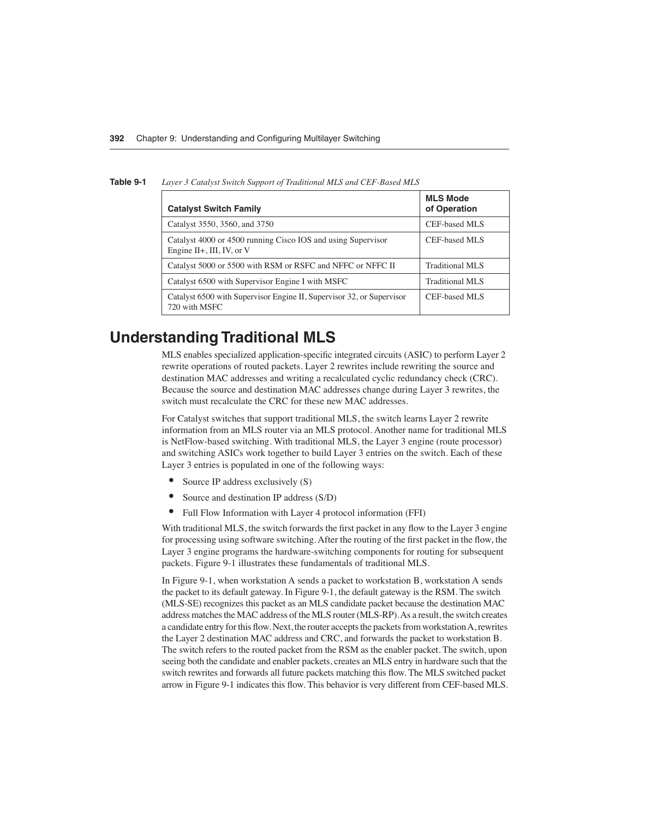| <b>Catalyst Switch Family</b>                                                                    | <b>MLS Mode</b><br>of Operation |
|--------------------------------------------------------------------------------------------------|---------------------------------|
| Catalyst 3550, 3560, and 3750                                                                    | CEF-based MLS                   |
| Catalyst 4000 or 4500 running Cisco IOS and using Supervisor<br>Engine $II +$ , $III$ , IV, or V | CEF-based MLS                   |
| Catalyst 5000 or 5500 with RSM or RSFC and NFFC or NFFC II                                       | Traditional MLS                 |
| Catalyst 6500 with Supervisor Engine I with MSFC                                                 | Traditional MLS                 |
| Catalyst 6500 with Supervisor Engine II, Supervisor 32, or Supervisor<br>720 with MSFC           | CEF-based MLS                   |

**Table 9-1** *Layer 3 Catalyst Switch Support of Traditional MLS and CEF-Based MLS*

## **Understanding Traditional MLS**

MLS enables specialized application-specific integrated circuits (ASIC) to perform Layer 2 rewrite operations of routed packets. Layer 2 rewrites include rewriting the source and destination MAC addresses and writing a recalculated cyclic redundancy check (CRC). Because the source and destination MAC addresses change during Layer 3 rewrites, the switch must recalculate the CRC for these new MAC addresses.

For Catalyst switches that support traditional MLS, the switch learns Layer 2 rewrite information from an MLS router via an MLS protocol. Another name for traditional MLS is NetFlow-based switching. With traditional MLS, the Layer 3 engine (route processor) and switching ASICs work together to build Layer 3 entries on the switch. Each of these Layer 3 entries is populated in one of the following ways:

- Source IP address exclusively (S)
- Source and destination IP address (S/D)
- Full Flow Information with Layer 4 protocol information (FFI)

With traditional MLS, the switch forwards the first packet in any flow to the Layer 3 engine for processing using software switching. After the routing of the first packet in the flow, the Layer 3 engine programs the hardware-switching components for routing for subsequent packets. Figure 9-1 illustrates these fundamentals of traditional MLS.

In Figure 9-1, when workstation A sends a packet to workstation B, workstation A sends the packet to its default gateway. In Figure 9-1, the default gateway is the RSM. The switch (MLS-SE) recognizes this packet as an MLS candidate packet because the destination MAC address matches the MAC address of the MLS router (MLS-RP). As a result, the switch creates a candidate entry for this flow. Next, the router accepts the packets from workstation A, rewrites the Layer 2 destination MAC address and CRC, and forwards the packet to workstation B. The switch refers to the routed packet from the RSM as the enabler packet. The switch, upon seeing both the candidate and enabler packets, creates an MLS entry in hardware such that the switch rewrites and forwards all future packets matching this flow. The MLS switched packet arrow in Figure 9-1 indicates this flow. This behavior is very different from CEF-based MLS.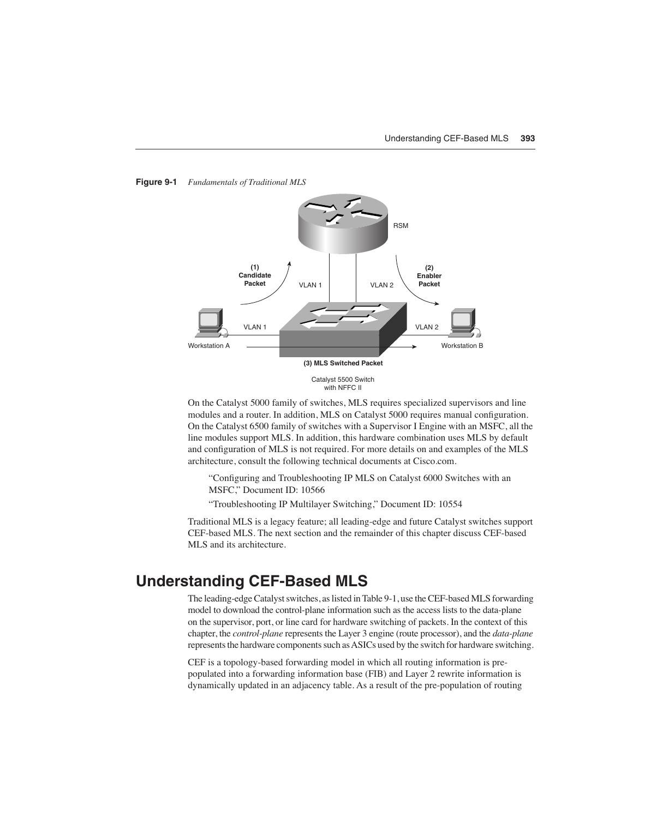

**Figure 9-1** *Fundamentals of Traditional MLS*

On the Catalyst 5000 family of switches, MLS requires specialized supervisors and line modules and a router. In addition, MLS on Catalyst 5000 requires manual configuration. On the Catalyst 6500 family of switches with a Supervisor I Engine with an MSFC, all the line modules support MLS. In addition, this hardware combination uses MLS by default and configuration of MLS is not required. For more details on and examples of the MLS architecture, consult the following technical documents at Cisco.com.

"Configuring and Troubleshooting IP MLS on Catalyst 6000 Switches with an MSFC," Document ID: 10566

"Troubleshooting IP Multilayer Switching," Document ID: 10554

Traditional MLS is a legacy feature; all leading-edge and future Catalyst switches support CEF-based MLS. The next section and the remainder of this chapter discuss CEF-based MLS and its architecture.

## **Understanding CEF-Based MLS**

The leading-edge Catalyst switches, as listed in Table 9-1, use the CEF-based MLS forwarding model to download the control-plane information such as the access lists to the data-plane on the supervisor, port, or line card for hardware switching of packets. In the context of this chapter, the *control-plane* represents the Layer 3 engine (route processor), and the *data-plane*  represents the hardware components such as ASICs used by the switch for hardware switching.

CEF is a topology-based forwarding model in which all routing information is prepopulated into a forwarding information base (FIB) and Layer 2 rewrite information is dynamically updated in an adjacency table. As a result of the pre-population of routing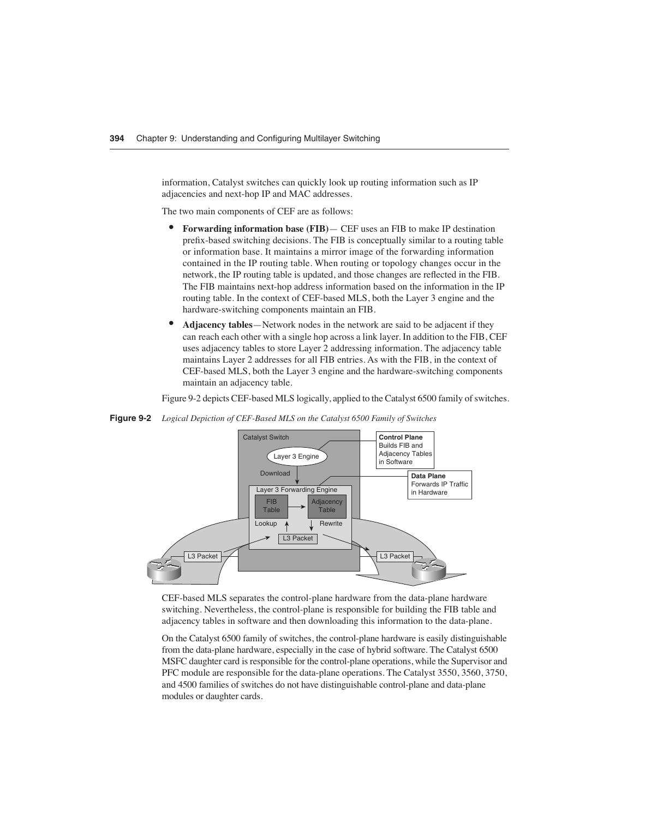information, Catalyst switches can quickly look up routing information such as IP adjacencies and next-hop IP and MAC addresses.

The two main components of CEF are as follows:

- **Forwarding information base (FIB)** CEF uses an FIB to make IP destination prefix-based switching decisions. The FIB is conceptually similar to a routing table or information base. It maintains a mirror image of the forwarding information contained in the IP routing table. When routing or topology changes occur in the network, the IP routing table is updated, and those changes are reflected in the FIB. The FIB maintains next-hop address information based on the information in the IP routing table. In the context of CEF-based MLS, both the Layer 3 engine and the hardware-switching components maintain an FIB.
- **Adjacency tables**—Network nodes in the network are said to be adjacent if they can reach each other with a single hop across a link layer. In addition to the FIB, CEF uses adjacency tables to store Layer 2 addressing information. The adjacency table maintains Layer 2 addresses for all FIB entries. As with the FIB, in the context of CEF-based MLS, both the Layer 3 engine and the hardware-switching components maintain an adjacency table.

Figure 9-2 depicts CEF-based MLS logically, applied to the Catalyst 6500 family of switches.





CEF-based MLS separates the control-plane hardware from the data-plane hardware switching. Nevertheless, the control-plane is responsible for building the FIB table and adjacency tables in software and then downloading this information to the data-plane.

On the Catalyst 6500 family of switches, the control-plane hardware is easily distinguishable from the data-plane hardware, especially in the case of hybrid software. The Catalyst 6500 MSFC daughter card is responsible for the control-plane operations, while the Supervisor and PFC module are responsible for the data-plane operations. The Catalyst 3550, 3560, 3750, and 4500 families of switches do not have distinguishable control-plane and data-plane modules or daughter cards.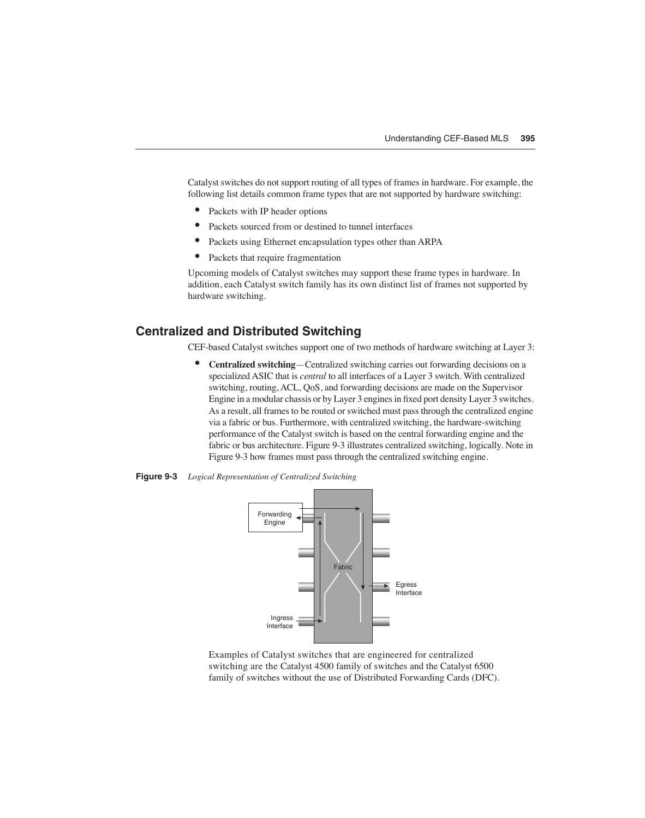Catalyst switches do not support routing of all types of frames in hardware. For example, the following list details common frame types that are not supported by hardware switching:

- Packets with IP header options
- Packets sourced from or destined to tunnel interfaces
- Packets using Ethernet encapsulation types other than ARPA
- Packets that require fragmentation

Upcoming models of Catalyst switches may support these frame types in hardware. In addition, each Catalyst switch family has its own distinct list of frames not supported by hardware switching.

#### **Centralized and Distributed Switching**

CEF-based Catalyst switches support one of two methods of hardware switching at Layer 3:

• **Centralized switching**—Centralized switching carries out forwarding decisions on a specialized ASIC that is *central* to all interfaces of a Layer 3 switch. With centralized switching, routing, ACL, QoS, and forwarding decisions are made on the Supervisor Engine in a modular chassis or by Layer 3 engines in fixed port density Layer 3 switches. As a result, all frames to be routed or switched must pass through the centralized engine via a fabric or bus. Furthermore, with centralized switching, the hardware-switching performance of the Catalyst switch is based on the central forwarding engine and the fabric or bus architecture. Figure 9-3 illustrates centralized switching, logically. Note in Figure 9-3 how frames must pass through the centralized switching engine.





Examples of Catalyst switches that are engineered for centralized switching are the Catalyst 4500 family of switches and the Catalyst 6500 family of switches without the use of Distributed Forwarding Cards (DFC).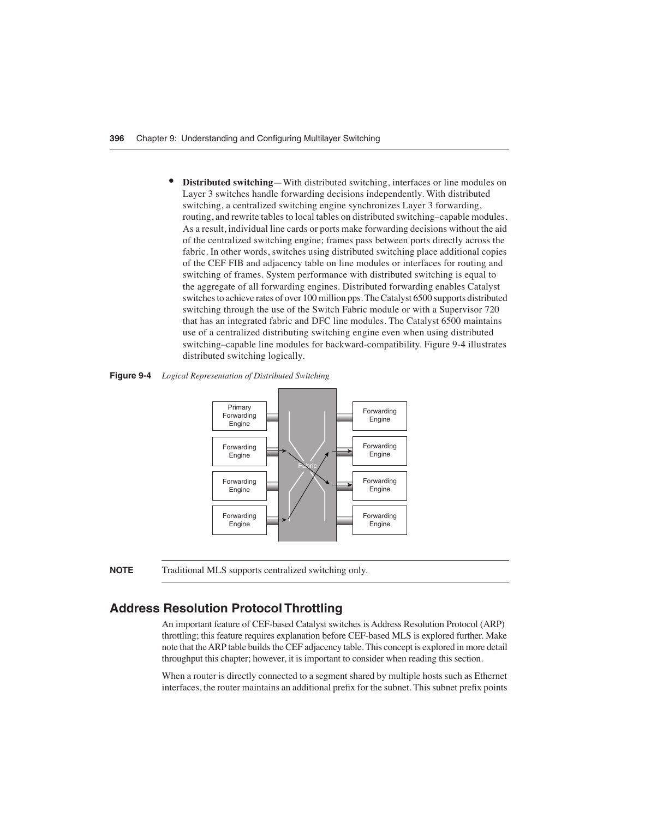• **Distributed switching**—With distributed switching, interfaces or line modules on Layer 3 switches handle forwarding decisions independently. With distributed switching, a centralized switching engine synchronizes Layer 3 forwarding, routing, and rewrite tables to local tables on distributed switching–capable modules. As a result, individual line cards or ports make forwarding decisions without the aid of the centralized switching engine; frames pass between ports directly across the fabric. In other words, switches using distributed switching place additional copies of the CEF FIB and adjacency table on line modules or interfaces for routing and switching of frames. System performance with distributed switching is equal to the aggregate of all forwarding engines. Distributed forwarding enables Catalyst switches to achieve rates of over 100 million pps. The Catalyst 6500 supports distributed switching through the use of the Switch Fabric module or with a Supervisor 720 that has an integrated fabric and DFC line modules. The Catalyst 6500 maintains use of a centralized distributing switching engine even when using distributed switching–capable line modules for backward-compatibility. Figure 9-4 illustrates distributed switching logically.





**NOTE** Traditional MLS supports centralized switching only.

#### **Address Resolution Protocol Throttling**

An important feature of CEF-based Catalyst switches is Address Resolution Protocol (ARP) throttling; this feature requires explanation before CEF-based MLS is explored further. Make note that the ARP table builds the CEF adjacency table. This concept is explored in more detail throughput this chapter; however, it is important to consider when reading this section.

When a router is directly connected to a segment shared by multiple hosts such as Ethernet interfaces, the router maintains an additional prefix for the subnet. This subnet prefix points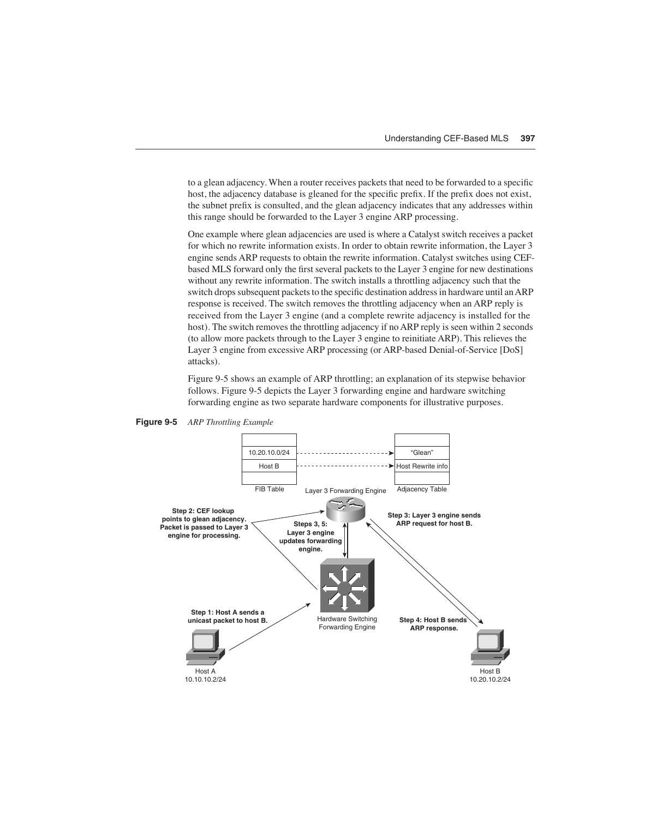to a glean adjacency. When a router receives packets that need to be forwarded to a specific host, the adjacency database is gleaned for the specific prefix. If the prefix does not exist, the subnet prefix is consulted, and the glean adjacency indicates that any addresses within this range should be forwarded to the Layer 3 engine ARP processing.

One example where glean adjacencies are used is where a Catalyst switch receives a packet for which no rewrite information exists. In order to obtain rewrite information, the Layer 3 engine sends ARP requests to obtain the rewrite information. Catalyst switches using CEFbased MLS forward only the first several packets to the Layer 3 engine for new destinations without any rewrite information. The switch installs a throttling adjacency such that the switch drops subsequent packets to the specific destination address in hardware until an ARP response is received. The switch removes the throttling adjacency when an ARP reply is received from the Layer 3 engine (and a complete rewrite adjacency is installed for the host). The switch removes the throttling adjacency if no ARP reply is seen within 2 seconds (to allow more packets through to the Layer 3 engine to reinitiate ARP). This relieves the Layer 3 engine from excessive ARP processing (or ARP-based Denial-of-Service [DoS] attacks).

Figure 9-5 shows an example of ARP throttling; an explanation of its stepwise behavior follows. Figure 9-5 depicts the Layer 3 forwarding engine and hardware switching forwarding engine as two separate hardware components for illustrative purposes.



#### **Figure 9-5** *ARP Throttling Example*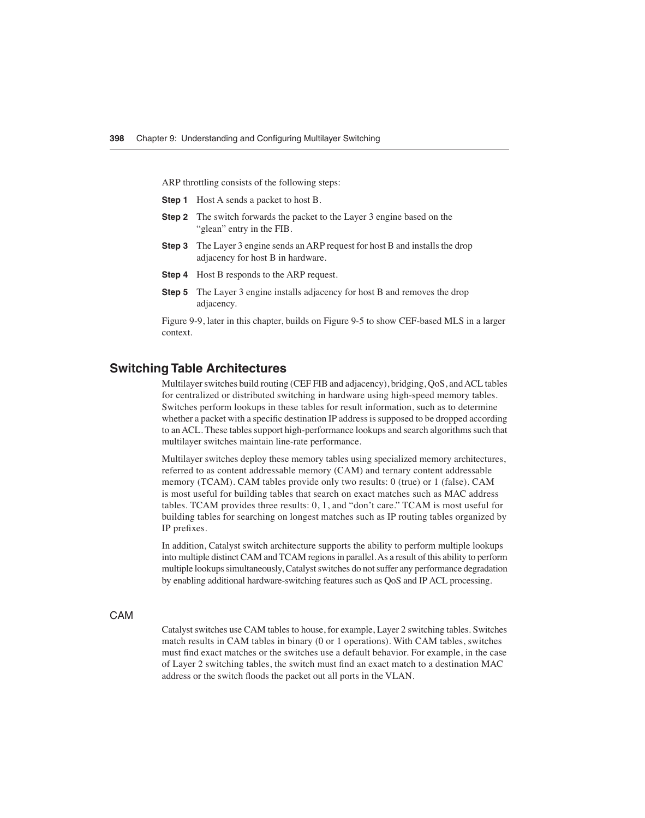ARP throttling consists of the following steps:

- **Step 1** Host A sends a packet to host B.
- **Step 2** The switch forwards the packet to the Layer 3 engine based on the "glean" entry in the FIB.
- **Step 3** The Layer 3 engine sends an ARP request for host B and installs the drop adjacency for host B in hardware.
- **Step 4** Host B responds to the ARP request.
- **Step 5** The Layer 3 engine installs adjacency for host B and removes the drop adjacency.

Figure 9-9, later in this chapter, builds on Figure 9-5 to show CEF-based MLS in a larger context.

#### **Switching Table Architectures**

Multilayer switches build routing (CEF FIB and adjacency), bridging, QoS, and ACL tables for centralized or distributed switching in hardware using high-speed memory tables. Switches perform lookups in these tables for result information, such as to determine whether a packet with a specific destination IP address is supposed to be dropped according to an ACL. These tables support high-performance lookups and search algorithms such that multilayer switches maintain line-rate performance.

Multilayer switches deploy these memory tables using specialized memory architectures, referred to as content addressable memory (CAM) and ternary content addressable memory (TCAM). CAM tables provide only two results: 0 (true) or 1 (false). CAM is most useful for building tables that search on exact matches such as MAC address tables. TCAM provides three results: 0, 1, and "don't care." TCAM is most useful for building tables for searching on longest matches such as IP routing tables organized by IP prefixes.

In addition, Catalyst switch architecture supports the ability to perform multiple lookups into multiple distinct CAM and TCAM regions in parallel. As a result of this ability to perform multiple lookups simultaneously, Catalyst switches do not suffer any performance degradation by enabling additional hardware-switching features such as QoS and IP ACL processing.

#### CAM

Catalyst switches use CAM tables to house, for example, Layer 2 switching tables. Switches match results in CAM tables in binary (0 or 1 operations). With CAM tables, switches must find exact matches or the switches use a default behavior. For example, in the case of Layer 2 switching tables, the switch must find an exact match to a destination MAC address or the switch floods the packet out all ports in the VLAN.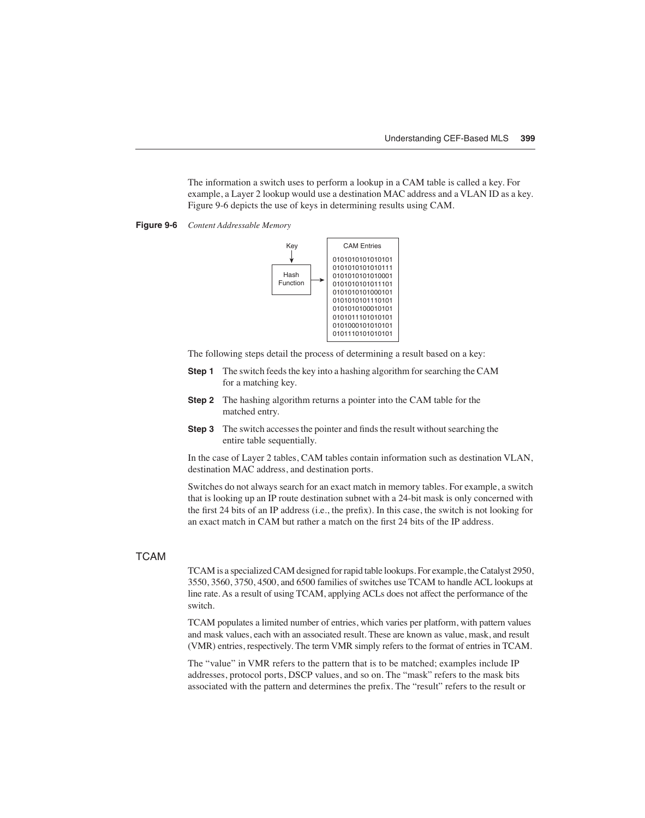The information a switch uses to perform a lookup in a CAM table is called a key. For example, a Layer 2 lookup would use a destination MAC address and a VLAN ID as a key. Figure 9-6 depicts the use of keys in determining results using CAM.





The following steps detail the process of determining a result based on a key:

- **Step 1** The switch feeds the key into a hashing algorithm for searching the CAM for a matching key.
- **Step 2** The hashing algorithm returns a pointer into the CAM table for the matched entry.
- **Step 3** The switch accesses the pointer and finds the result without searching the entire table sequentially.

In the case of Layer 2 tables, CAM tables contain information such as destination VLAN, destination MAC address, and destination ports.

Switches do not always search for an exact match in memory tables. For example, a switch that is looking up an IP route destination subnet with a 24-bit mask is only concerned with the first 24 bits of an IP address (i.e., the prefix). In this case, the switch is not looking for an exact match in CAM but rather a match on the first 24 bits of the IP address.

#### **TCAM**

TCAM is a specialized CAM designed for rapid table lookups. For example, the Catalyst 2950, 3550, 3560, 3750, 4500, and 6500 families of switches use TCAM to handle ACL lookups at line rate. As a result of using TCAM, applying ACLs does not affect the performance of the switch.

TCAM populates a limited number of entries, which varies per platform, with pattern values and mask values, each with an associated result. These are known as value, mask, and result (VMR) entries, respectively. The term VMR simply refers to the format of entries in TCAM.

The "value" in VMR refers to the pattern that is to be matched; examples include IP addresses, protocol ports, DSCP values, and so on. The "mask" refers to the mask bits associated with the pattern and determines the prefix. The "result" refers to the result or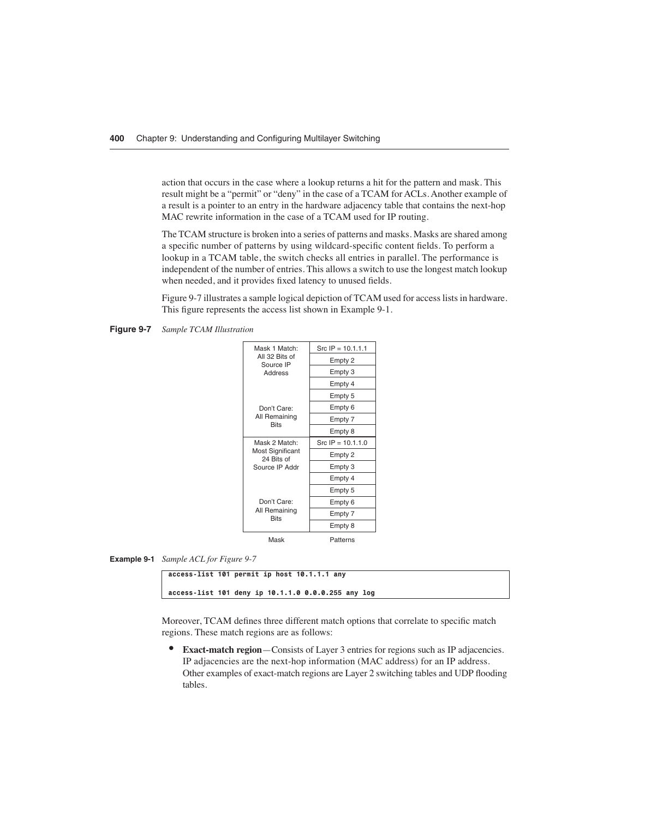action that occurs in the case where a lookup returns a hit for the pattern and mask. This result might be a "permit" or "deny" in the case of a TCAM for ACLs. Another example of a result is a pointer to an entry in the hardware adjacency table that contains the next-hop MAC rewrite information in the case of a TCAM used for IP routing.

The TCAM structure is broken into a series of patterns and masks. Masks are shared among a specific number of patterns by using wildcard-specific content fields. To perform a lookup in a TCAM table, the switch checks all entries in parallel. The performance is independent of the number of entries. This allows a switch to use the longest match lookup when needed, and it provides fixed latency to unused fields.

Figure 9-7 illustrates a sample logical depiction of TCAM used for access lists in hardware. This figure represents the access list shown in Example 9-1.





**Example 9-1** *Sample ACL for Figure 9-7*

| access-list 101 permit ip host 10.1.1.1 any        |  |
|----------------------------------------------------|--|
| access-list 101 deny ip 10.1.1.0 0.0.0.255 any log |  |

Moreover, TCAM defines three different match options that correlate to specific match regions. These match regions are as follows:

• **Exact-match region**—Consists of Layer 3 entries for regions such as IP adjacencies. IP adjacencies are the next-hop information (MAC address) for an IP address. Other examples of exact-match regions are Layer 2 switching tables and UDP flooding tables.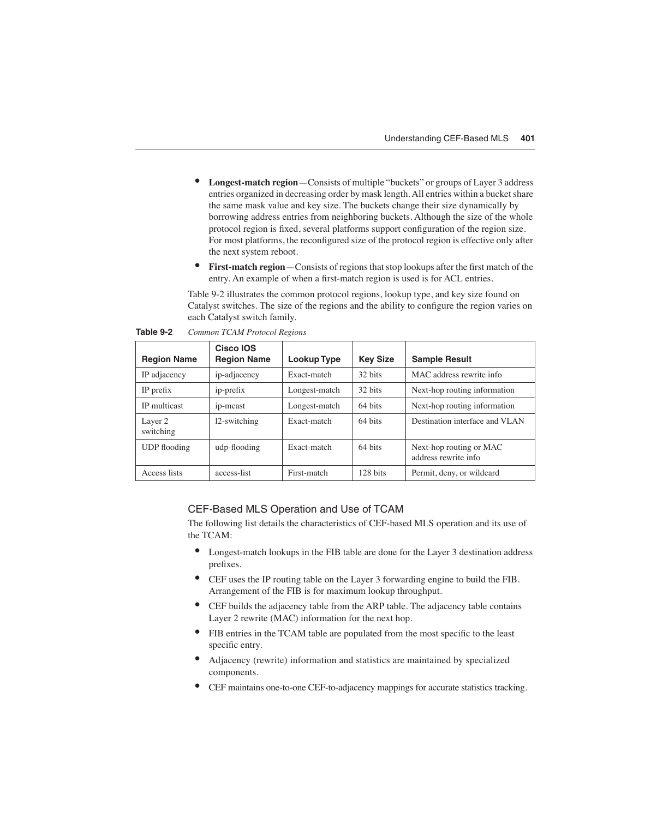- **Longest-match region**—Consists of multiple "buckets" or groups of Layer 3 address entries organized in decreasing order by mask length. All entries within a bucket share the same mask value and key size. The buckets change their size dynamically by borrowing address entries from neighboring buckets. Although the size of the whole protocol region is fixed, several platforms support configuration of the region size. For most platforms, the reconfigured size of the protocol region is effective only after the next system reboot.
- **First-match region**—Consists of regions that stop lookups after the first match of the entry. An example of when a first-match region is used is for ACL entries.

Table 9-2 illustrates the common protocol regions, lookup type, and key size found on Catalyst switches. The size of the regions and the ability to configure the region varies on each Catalyst switch family.

| <b>Region Name</b>   | Cisco IOS<br><b>Region Name</b> | <b>Lookup Type</b> | <b>Key Size</b> | <b>Sample Result</b>                            |
|----------------------|---------------------------------|--------------------|-----------------|-------------------------------------------------|
| IP adjacency         | ip-adjacency                    | Exact-match        | 32 hits         | MAC address rewrite info                        |
| IP prefix            | ip-prefix                       | Longest-match      | 32 bits         | Next-hop routing information                    |
| IP multicast         | ip-meast                        | Longest-match      | 64 bits         | Next-hop routing information                    |
| Layer 2<br>switching | 12-switching                    | Exact-match        | 64 bits         | Destination interface and VLAN                  |
| UDP flooding         | udp-flooding                    | Exact-match        | 64 bits         | Next-hop routing or MAC<br>address rewrite info |
| Access lists         | access-list                     | First-match        | 128 bits        | Permit, deny, or wildcard                       |

**Table 9-2** *Common TCAM Protocol Regions*

#### CEF-Based MLS Operation and Use of TCAM

The following list details the characteristics of CEF-based MLS operation and its use of the TCAM:

- Longest-match lookups in the FIB table are done for the Layer 3 destination address prefixes.
- CEF uses the IP routing table on the Layer 3 forwarding engine to build the FIB. Arrangement of the FIB is for maximum lookup throughput.
- CEF builds the adjacency table from the ARP table. The adjacency table contains Layer 2 rewrite (MAC) information for the next hop.
- FIB entries in the TCAM table are populated from the most specific to the least specific entry.
- Adjacency (rewrite) information and statistics are maintained by specialized components.
- CEF maintains one-to-one CEF-to-adjacency mappings for accurate statistics tracking.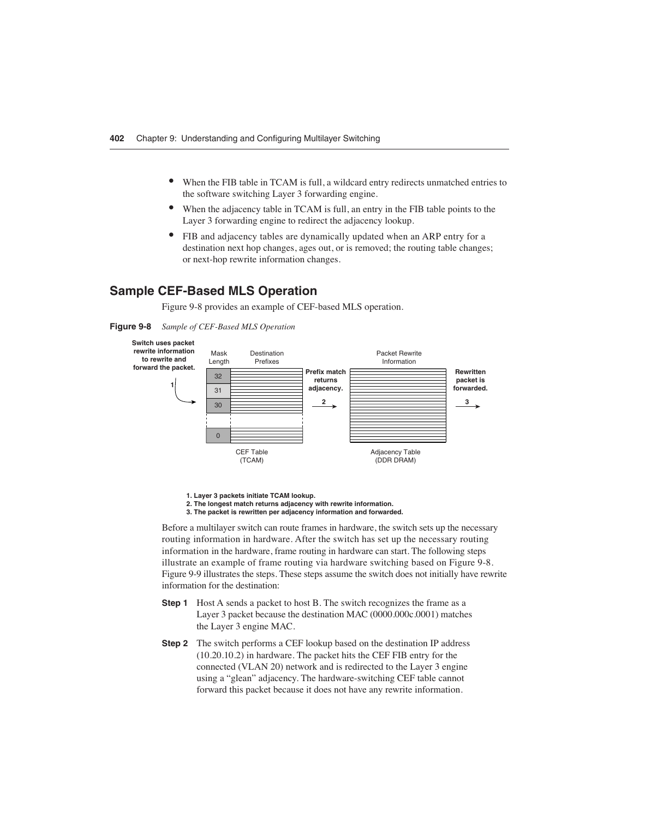- When the FIB table in TCAM is full, a wildcard entry redirects unmatched entries to the software switching Layer 3 forwarding engine.
- When the adjacency table in TCAM is full, an entry in the FIB table points to the Layer 3 forwarding engine to redirect the adjacency lookup.
- FIB and adjacency tables are dynamically updated when an ARP entry for a destination next hop changes, ages out, or is removed; the routing table changes; or next-hop rewrite information changes.

#### **Sample CEF-Based MLS Operation**

Figure 9-8 provides an example of CEF-based MLS operation.





**1. Layer 3 packets initiate TCAM lookup.**

**2. The longest match returns adjacency with rewrite information.**

**3. The packet is rewritten per adjacency information and forwarded.**

Before a multilayer switch can route frames in hardware, the switch sets up the necessary routing information in hardware. After the switch has set up the necessary routing information in the hardware, frame routing in hardware can start. The following steps illustrate an example of frame routing via hardware switching based on Figure 9-8. Figure 9-9 illustrates the steps. These steps assume the switch does not initially have rewrite information for the destination:

- **Step 1** Host A sends a packet to host B. The switch recognizes the frame as a Layer 3 packet because the destination MAC (0000.000c.0001) matches the Layer 3 engine MAC.
- **Step 2** The switch performs a CEF lookup based on the destination IP address (10.20.10.2) in hardware. The packet hits the CEF FIB entry for the connected (VLAN 20) network and is redirected to the Layer 3 engine using a "glean" adjacency. The hardware-switching CEF table cannot forward this packet because it does not have any rewrite information.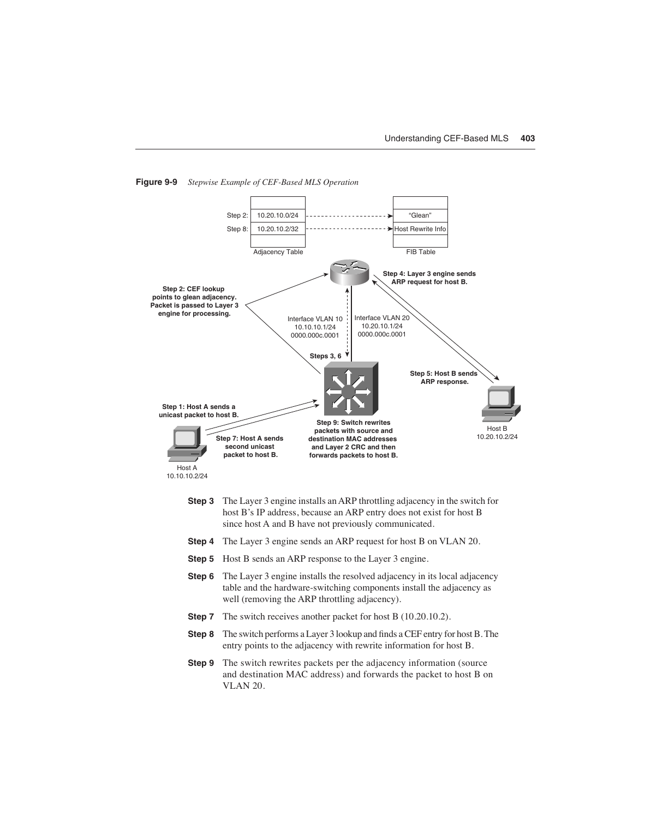

**Figure 9-9** *Stepwise Example of CEF-Based MLS Operation*

- **Step 3** The Layer 3 engine installs an ARP throttling adjacency in the switch for host B's IP address, because an ARP entry does not exist for host B since host A and B have not previously communicated.
- **Step 4** The Layer 3 engine sends an ARP request for host B on VLAN 20.
- **Step 5** Host B sends an ARP response to the Layer 3 engine.
- **Step 6** The Layer 3 engine installs the resolved adjacency in its local adjacency table and the hardware-switching components install the adjacency as well (removing the ARP throttling adjacency).
- **Step 7** The switch receives another packet for host B (10.20.10.2).
- **Step 8** The switch performs a Layer 3 lookup and finds a CEF entry for host B. The entry points to the adjacency with rewrite information for host B.
- **Step 9** The switch rewrites packets per the adjacency information (source and destination MAC address) and forwards the packet to host B on VLAN 20.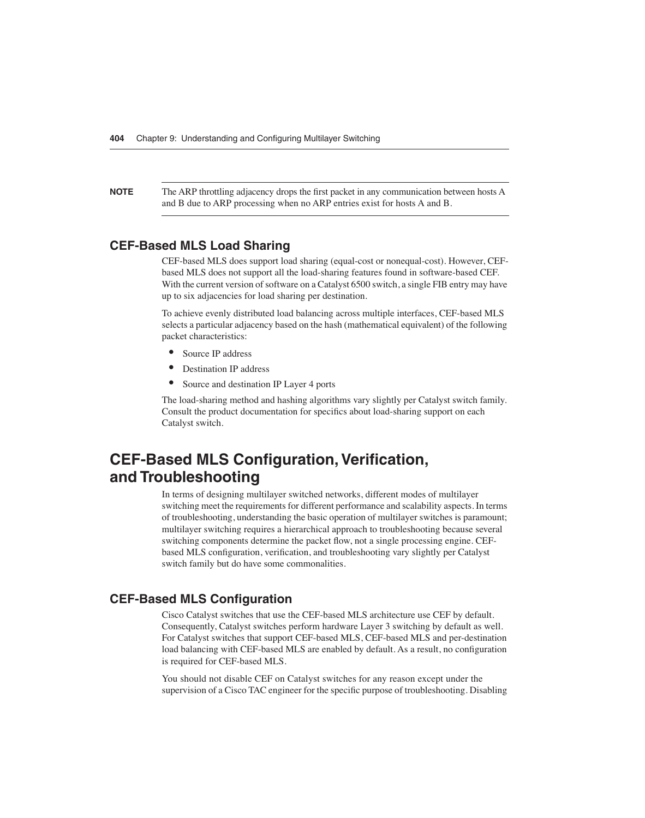**NOTE** The ARP throttling adjacency drops the first packet in any communication between hosts A and B due to ARP processing when no ARP entries exist for hosts A and B.

#### **CEF-Based MLS Load Sharing**

CEF-based MLS does support load sharing (equal-cost or nonequal-cost). However, CEFbased MLS does not support all the load-sharing features found in software-based CEF. With the current version of software on a Catalyst 6500 switch, a single FIB entry may have up to six adjacencies for load sharing per destination.

To achieve evenly distributed load balancing across multiple interfaces, CEF-based MLS selects a particular adjacency based on the hash (mathematical equivalent) of the following packet characteristics:

- Source IP address
- Destination IP address
- Source and destination IP Layer 4 ports

The load-sharing method and hashing algorithms vary slightly per Catalyst switch family. Consult the product documentation for specifics about load-sharing support on each Catalyst switch.

## **CEF-Based MLS Configuration, Verification, and Troubleshooting**

In terms of designing multilayer switched networks, different modes of multilayer switching meet the requirements for different performance and scalability aspects. In terms of troubleshooting, understanding the basic operation of multilayer switches is paramount; multilayer switching requires a hierarchical approach to troubleshooting because several switching components determine the packet flow, not a single processing engine. CEFbased MLS configuration, verification, and troubleshooting vary slightly per Catalyst switch family but do have some commonalities.

#### **CEF-Based MLS Configuration**

Cisco Catalyst switches that use the CEF-based MLS architecture use CEF by default. Consequently, Catalyst switches perform hardware Layer 3 switching by default as well. For Catalyst switches that support CEF-based MLS, CEF-based MLS and per-destination load balancing with CEF-based MLS are enabled by default. As a result, no configuration is required for CEF-based MLS.

You should not disable CEF on Catalyst switches for any reason except under the supervision of a Cisco TAC engineer for the specific purpose of troubleshooting. Disabling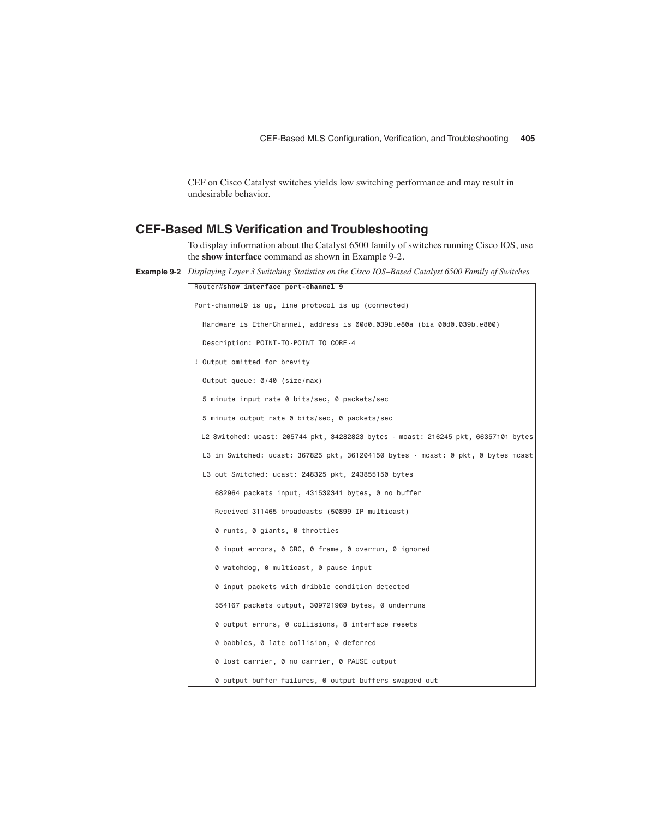CEF on Cisco Catalyst switches yields low switching performance and may result in undesirable behavior.

## **CEF-Based MLS Verification and Troubleshooting**

To display information about the Catalyst 6500 family of switches running Cisco IOS, use the **show interface** command as shown in Example 9-2.

```
Example 9-2 Displaying Layer 3 Switching Statistics on the Cisco IOS–Based Catalyst 6500 Family of Switches
```

| Router#show interface port-channel 9                                               |
|------------------------------------------------------------------------------------|
| Port-channel9 is up, line protocol is up (connected)                               |
| Hardware is EtherChannel, address is 00d0.039b.e80a (bia 00d0.039b.e800)           |
| Description: POINT-TO-POINT TO CORE-4                                              |
| ! Output omitted for brevity                                                       |
| Output queue: 0/40 (size/max)                                                      |
| 5 minute input rate 0 bits/sec, 0 packets/sec                                      |
| 5 minute output rate 0 bits/sec, 0 packets/sec                                     |
| L2 Switched: ucast: 205744 pkt, 34282823 bytes - mcast: 216245 pkt, 66357101 bytes |
| L3 in Switched: ucast: 367825 pkt, 361204150 bytes - mcast: 0 pkt, 0 bytes mcast   |
| L3 out Switched: ucast: 248325 pkt, 243855150 bytes                                |
| 682964 packets input, 431530341 bytes, 0 no buffer                                 |
| Received 311465 broadcasts (50899 IP multicast)                                    |
| 0 runts, 0 giants, 0 throttles                                                     |
| 0 input errors, 0 CRC, 0 frame, 0 overrun, 0 ignored                               |
| 0 watchdog, 0 multicast, 0 pause input                                             |
| 0 input packets with dribble condition detected                                    |
| 554167 packets output, 309721969 bytes, 0 underruns                                |
| 0 output errors, 0 collisions, 8 interface resets                                  |
| 0 babbles, 0 late collision, 0 deferred                                            |
| 0 lost carrier, 0 no carrier, 0 PAUSE output                                       |
| 0 output buffer failures, 0 output buffers swapped out                             |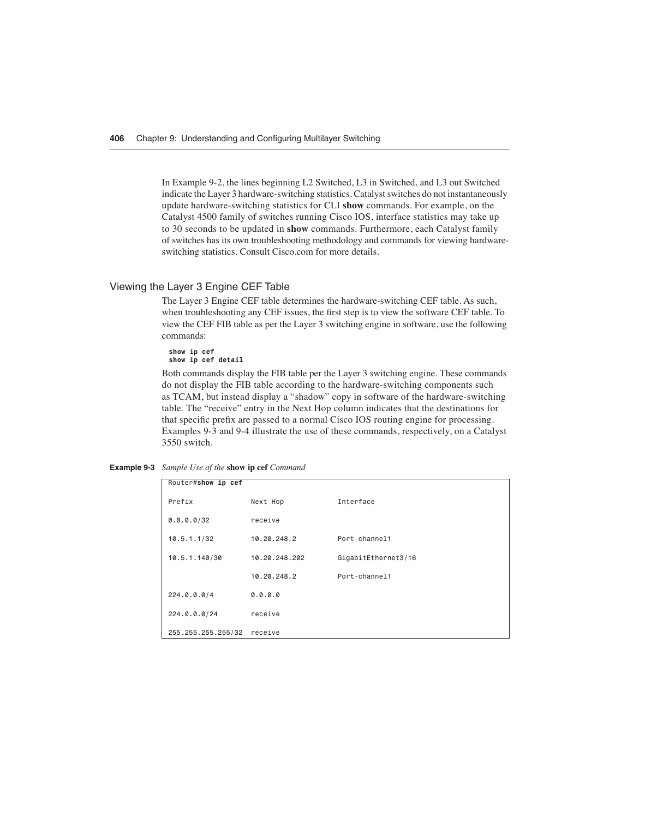In Example 9-2, the lines beginning L2 Switched, L3 in Switched, and L3 out Switched indicate the Layer 3 hardware-switching statistics. Catalyst switches do not instantaneously update hardware-switching statistics for CLI **show** commands. For example, on the Catalyst 4500 family of switches running Cisco IOS, interface statistics may take up to 30 seconds to be updated in **show** commands. Furthermore, each Catalyst family of switches has its own troubleshooting methodology and commands for viewing hardwareswitching statistics. Consult Cisco.com for more details.

#### Viewing the Layer 3 Engine CEF Table

The Layer 3 Engine CEF table determines the hardware-switching CEF table. As such, when troubleshooting any CEF issues, the first step is to view the software CEF table. To view the CEF FIB table as per the Layer 3 switching engine in software, use the following commands:

*show ip cef show ip cef detail*

Both commands display the FIB table per the Layer 3 switching engine. These commands do not display the FIB table according to the hardware-switching components such as TCAM, but instead display a "shadow" copy in software of the hardware-switching table. The "receive" entry in the Next Hop column indicates that the destinations for that specific prefix are passed to a normal Cisco IOS routing engine for processing. Examples 9-3 and 9-4 illustrate the use of these commands, respectively, on a Catalyst 3550 switch.

#### **Example 9-3** *Sample Use of the* **show ip cef** *Command*

| Router#show ip cef |               |                     |
|--------------------|---------------|---------------------|
| Prefix             | Next Hop      | Interface           |
| 0.0.0.0/32         | receive       |                     |
| 10.5.1.1/32        | 10.20.248.2   | Port-channel1       |
| 10.5.1.140/30      | 10.20.248.202 | GigabitEthernet3/16 |
|                    | 10.20.248.2   | Port-channel1       |
| 224.0.0.0/4        | 0.0.0.0       |                     |
| 224.0.0.0/24       | receive       |                     |
| 255.255.255.255/32 | receive       |                     |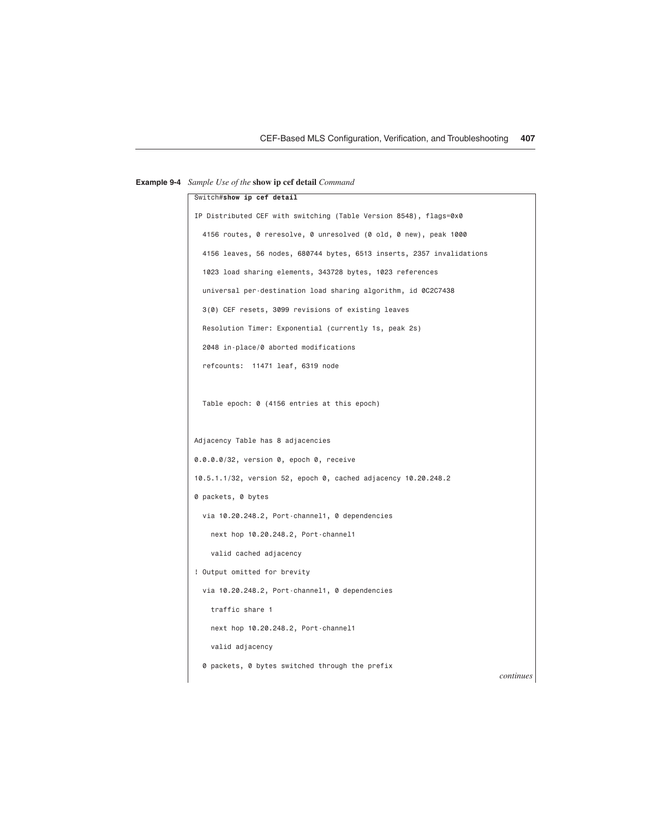**Example 9-4** *Sample Use of the* **show ip cef detail** *Command* 

| Switch#show ip cef detail                                             |
|-----------------------------------------------------------------------|
| IP Distributed CEF with switching (Table Version 8548), flags=0x0     |
| 4156 routes, 0 reresolve, 0 unresolved (0 old, 0 new), peak 1000      |
| 4156 leaves, 56 nodes, 680744 bytes, 6513 inserts, 2357 invalidations |
| 1023 load sharing elements, 343728 bytes, 1023 references             |
| universal per-destination load sharing algorithm, id 0C2C7438         |
| 3(0) CEF resets, 3099 revisions of existing leaves                    |
| Resolution Timer: Exponential (currently 1s, peak 2s)                 |
| 2048 in-place/0 aborted modifications                                 |
| refcounts: 11471 leaf, 6319 node                                      |
|                                                                       |
| Table epoch: 0 (4156 entries at this epoch)                           |
|                                                                       |
| Adjacency Table has 8 adjacencies                                     |
| $0.0.0.0/32$ , version $0$ , epoch $0$ , receive                      |
| 10.5.1.1/32, version 52, epoch 0, cached adjacency 10.20.248.2        |
| 0 packets, 0 bytes                                                    |
| via 10.20.248.2, Port-channel1, 0 dependencies                        |
| next hop 10.20.248.2, Port-channel1                                   |
| valid cached adjacency                                                |
| ! Output omitted for brevity                                          |
| via 10.20.248.2, Port-channel1, 0 dependencies                        |
| traffic share 1                                                       |
| next hop 10.20.248.2, Port-channel1                                   |
| valid adjacency                                                       |
| 0 packets, 0 bytes switched through the prefix                        |
| continues                                                             |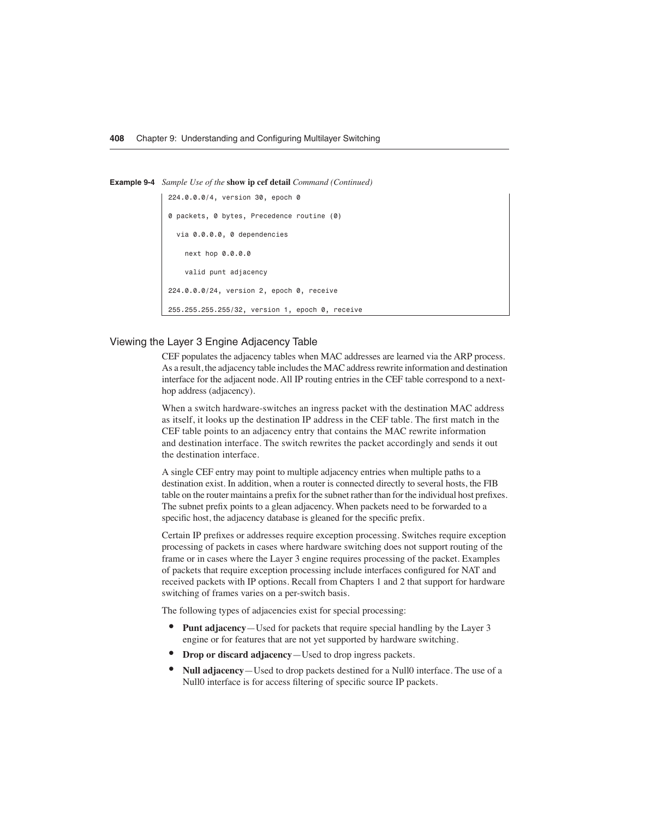```
Example 9-4 Sample Use of the show ip cef detail Command (Continued)
```

```
224.0.0.0/4, version 30, epoch 0
0 packets, 0 bytes, Precedence routine (0)
   via 0.0.0.0, 0 dependencies
    next hop 0.0.0.0
    valid punt adjacency
224.0.0.0/24, version 2, epoch 0, receive
255.255.255.255/32, version 1, epoch 0, receive
```
#### Viewing the Layer 3 Engine Adjacency Table

CEF populates the adjacency tables when MAC addresses are learned via the ARP process. As a result, the adjacency table includes the MAC address rewrite information and destination interface for the adjacent node. All IP routing entries in the CEF table correspond to a nexthop address (adjacency).

When a switch hardware-switches an ingress packet with the destination MAC address as itself, it looks up the destination IP address in the CEF table. The first match in the CEF table points to an adjacency entry that contains the MAC rewrite information and destination interface. The switch rewrites the packet accordingly and sends it out the destination interface.

A single CEF entry may point to multiple adjacency entries when multiple paths to a destination exist. In addition, when a router is connected directly to several hosts, the FIB table on the router maintains a prefix for the subnet rather than for the individual host prefixes. The subnet prefix points to a glean adjacency. When packets need to be forwarded to a specific host, the adjacency database is gleaned for the specific prefix.

Certain IP prefixes or addresses require exception processing. Switches require exception processing of packets in cases where hardware switching does not support routing of the frame or in cases where the Layer 3 engine requires processing of the packet. Examples of packets that require exception processing include interfaces configured for NAT and received packets with IP options. Recall from Chapters 1 and 2 that support for hardware switching of frames varies on a per-switch basis.

The following types of adjacencies exist for special processing:

- **Punt adjacency**—Used for packets that require special handling by the Layer 3 engine or for features that are not yet supported by hardware switching.
- **Drop or discard adjacency**—Used to drop ingress packets.
- **Null adjacency**—Used to drop packets destined for a Null0 interface. The use of a Null0 interface is for access filtering of specific source IP packets.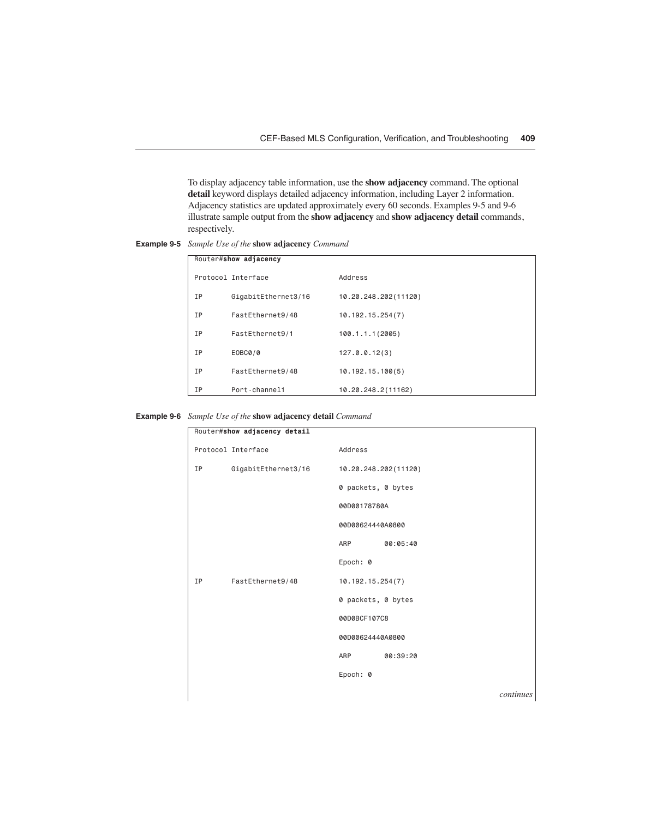To display adjacency table information, use the **show adjacency** command. The optional **detail** keyword displays detailed adjacency information, including Layer 2 information. Adjacency statistics are updated approximately every 60 seconds. Examples 9-5 and 9-6 illustrate sample output from the **show adjacency** and **show adjacency detail** commands, respectively.

**Example 9-5** *Sample Use of the* **show adjacency** *Command*

|    | Router#show adjacency |                      |
|----|-----------------------|----------------------|
|    | Protocol Interface    | Address              |
| IΡ | GigabitEthernet3/16   | 10.20.248.202(11120) |
| IΡ | FastEthernet9/48      | 10.192.15.254(7)     |
| IΡ | FastEthernet9/1       | 100.1.1.1(2005)      |
| IΡ | EOBC0/0               | 127.0.0.12(3)        |
| IΡ | FastEthernet9/48      | 10.192.15.100(5)     |
| IΡ | Port-channel1         | 10.20.248.2(11162)   |

**Example 9-6** *Sample Use of the* **show adjacency detail** *Command* 

| Router#show adjacency detail<br>Protocol Interface<br>Address<br>GigabitEthernet3/16<br>IP.<br>10.20.248.202(11120)<br>0 packets, 0 bytes<br>00D00178780A<br>00D00624440A0800<br>ARP<br>00:05:40<br>Epoch: 0<br>FastEthernet9/48<br>IP.<br>10.192.15.254(7)<br>0 packets, 0 bytes<br>00D0BCF107C8<br>00D00624440A0800<br>00:39:20<br>ARP<br>Epoch: 0 |  |  |           |
|------------------------------------------------------------------------------------------------------------------------------------------------------------------------------------------------------------------------------------------------------------------------------------------------------------------------------------------------------|--|--|-----------|
|                                                                                                                                                                                                                                                                                                                                                      |  |  |           |
|                                                                                                                                                                                                                                                                                                                                                      |  |  |           |
|                                                                                                                                                                                                                                                                                                                                                      |  |  |           |
|                                                                                                                                                                                                                                                                                                                                                      |  |  |           |
|                                                                                                                                                                                                                                                                                                                                                      |  |  |           |
|                                                                                                                                                                                                                                                                                                                                                      |  |  |           |
|                                                                                                                                                                                                                                                                                                                                                      |  |  |           |
|                                                                                                                                                                                                                                                                                                                                                      |  |  |           |
|                                                                                                                                                                                                                                                                                                                                                      |  |  |           |
|                                                                                                                                                                                                                                                                                                                                                      |  |  |           |
|                                                                                                                                                                                                                                                                                                                                                      |  |  |           |
|                                                                                                                                                                                                                                                                                                                                                      |  |  |           |
|                                                                                                                                                                                                                                                                                                                                                      |  |  |           |
|                                                                                                                                                                                                                                                                                                                                                      |  |  |           |
|                                                                                                                                                                                                                                                                                                                                                      |  |  | continues |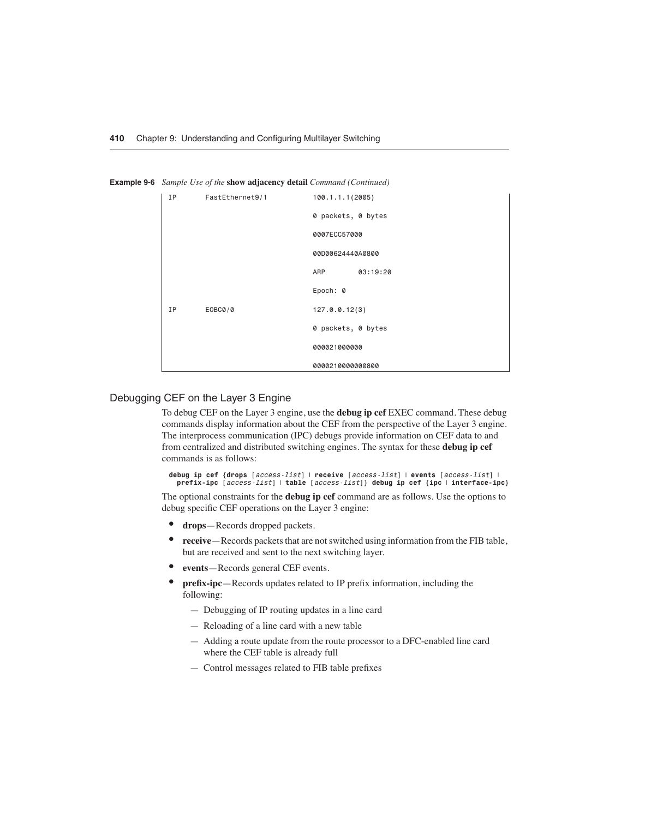

**Example 9-6** *Sample Use of the* **show adjacency detail** *Command (Continued)*

#### Debugging CEF on the Layer 3 Engine

To debug CEF on the Layer 3 engine, use the **debug ip cef** EXEC command. These debug commands display information about the CEF from the perspective of the Layer 3 engine. The interprocess communication (IPC) debugs provide information on CEF data to and from centralized and distributed switching engines. The syntax for these **debug ip cef** commands is as follows:

*debug ip cef {drops [access-list]* | *receive [access-list]* | *events [access-list]* |  *prefix-ipc [access-list]* | *table [access-list]} debug ip cef {ipc* | *interface-ipc}*

The optional constraints for the **debug ip cef** command are as follows. Use the options to debug specific CEF operations on the Layer 3 engine:

- **drops**—Records dropped packets.
- **receive**—Records packets that are not switched using information from the FIB table, but are received and sent to the next switching layer.
- **events**—Records general CEF events.
- **prefix-ipc**—Records updates related to IP prefix information, including the following:
	- Debugging of IP routing updates in a line card
	- Reloading of a line card with a new table
	- Adding a route update from the route processor to a DFC-enabled line card where the CEF table is already full
	- Control messages related to FIB table prefixes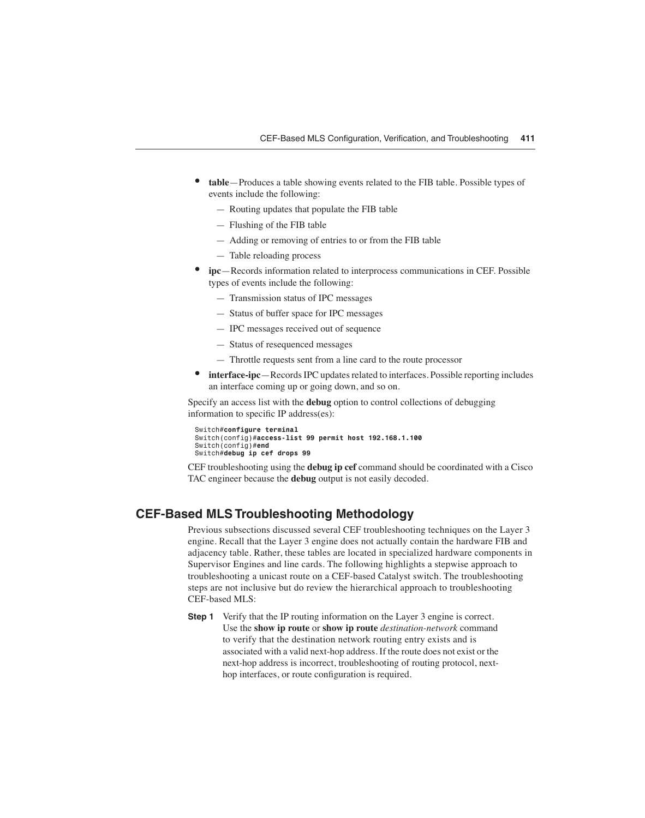- **table**—Produces a table showing events related to the FIB table. Possible types of events include the following:
	- Routing updates that populate the FIB table
	- Flushing of the FIB table
	- Adding or removing of entries to or from the FIB table
	- Table reloading process
- **ipc**—Records information related to interprocess communications in CEF. Possible types of events include the following:
	- Transmission status of IPC messages
	- Status of buffer space for IPC messages
	- IPC messages received out of sequence
	- Status of resequenced messages
	- Throttle requests sent from a line card to the route processor
- **interface-ipc**—Records IPC updates related to interfaces. Possible reporting includes an interface coming up or going down, and so on.

Specify an access list with the **debug** option to control collections of debugging information to specific IP address(es):

```
Switch#configure terminal
Switch(config)#access-list 99 permit host 192.168.1.100
Switch(config)#end
Switch#debug ip cef drops 99
```
CEF troubleshooting using the **debug ip cef** command should be coordinated with a Cisco TAC engineer because the **debug** output is not easily decoded.

#### **CEF-Based MLS Troubleshooting Methodology**

Previous subsections discussed several CEF troubleshooting techniques on the Layer 3 engine. Recall that the Layer 3 engine does not actually contain the hardware FIB and adjacency table. Rather, these tables are located in specialized hardware components in Supervisor Engines and line cards. The following highlights a stepwise approach to troubleshooting a unicast route on a CEF-based Catalyst switch. The troubleshooting steps are not inclusive but do review the hierarchical approach to troubleshooting CEF-based MLS:

**Step 1** Verify that the IP routing information on the Layer 3 engine is correct. Use the **show ip route** or **show ip route** *destination-network* command to verify that the destination network routing entry exists and is associated with a valid next-hop address. If the route does not exist or the next-hop address is incorrect, troubleshooting of routing protocol, nexthop interfaces, or route configuration is required.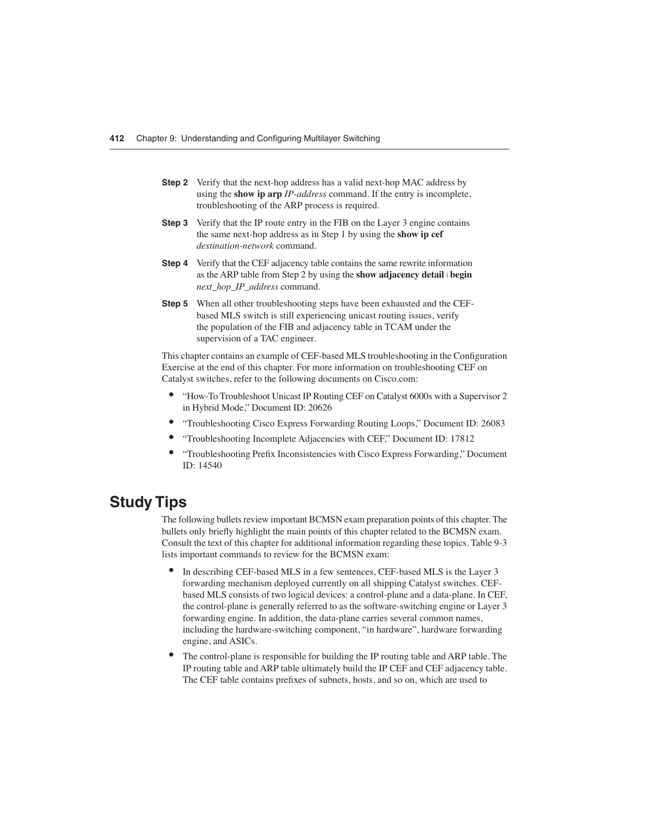- **Step 2** Verify that the next-hop address has a valid next-hop MAC address by using the **show ip arp** *IP-address* command. If the entry is incomplete, troubleshooting of the ARP process is required.
- **Step 3** Verify that the IP route entry in the FIB on the Layer 3 engine contains the same next-hop address as in Step 1 by using the **show ip cef** *destination-network* command.
- **Step 4** Verify that the CEF adjacency table contains the same rewrite information as the ARP table from Step 2 by using the **show adjacency detail** | **begin** *next\_hop\_IP\_address* command.
- **Step 5** When all other troubleshooting steps have been exhausted and the CEFbased MLS switch is still experiencing unicast routing issues, verify the population of the FIB and adjacency table in TCAM under the supervision of a TAC engineer.

This chapter contains an example of CEF-based MLS troubleshooting in the Configuration Exercise at the end of this chapter. For more information on troubleshooting CEF on Catalyst switches, refer to the following documents on Cisco.com:

- "How-To Troubleshoot Unicast IP Routing CEF on Catalyst 6000s with a Supervisor 2 in Hybrid Mode," Document ID: 20626
- "Troubleshooting Cisco Express Forwarding Routing Loops," Document ID: 26083
- "Troubleshooting Incomplete Adjacencies with CEF," Document ID: 17812
- "Troubleshooting Prefix Inconsistencies with Cisco Express Forwarding," Document ID: 14540

## **Study Tips**

The following bullets review important BCMSN exam preparation points of this chapter. The bullets only briefly highlight the main points of this chapter related to the BCMSN exam. Consult the text of this chapter for additional information regarding these topics. Table 9-3 lists important commands to review for the BCMSN exam:

- In describing CEF-based MLS in a few sentences, CEF-based MLS is the Layer 3 forwarding mechanism deployed currently on all shipping Catalyst switches. CEFbased MLS consists of two logical devices: a control-plane and a data-plane. In CEF, the control-plane is generally referred to as the software-switching engine or Layer 3 forwarding engine. In addition, the data-plane carries several common names, including the hardware-switching component, "in hardware", hardware forwarding engine, and ASICs.
- The control-plane is responsible for building the IP routing table and ARP table. The IP routing table and ARP table ultimately build the IP CEF and CEF adjacency table. The CEF table contains prefixes of subnets, hosts, and so on, which are used to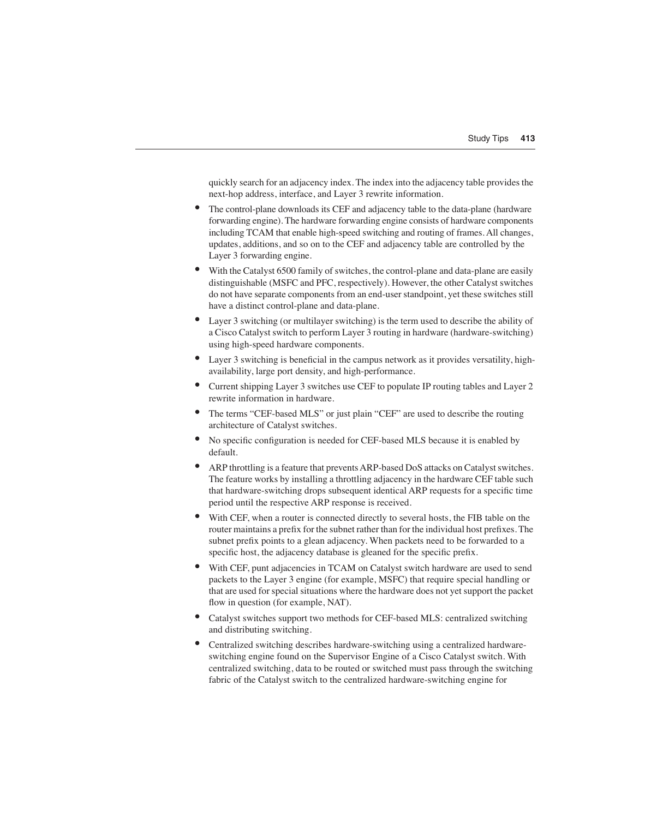quickly search for an adjacency index. The index into the adjacency table provides the next-hop address, interface, and Layer 3 rewrite information.

- The control-plane downloads its CEF and adjacency table to the data-plane (hardware forwarding engine). The hardware forwarding engine consists of hardware components including TCAM that enable high-speed switching and routing of frames. All changes, updates, additions, and so on to the CEF and adjacency table are controlled by the Layer 3 forwarding engine.
- With the Catalyst 6500 family of switches, the control-plane and data-plane are easily distinguishable (MSFC and PFC, respectively). However, the other Catalyst switches do not have separate components from an end-user standpoint, yet these switches still have a distinct control-plane and data-plane.
- Layer 3 switching (or multilayer switching) is the term used to describe the ability of a Cisco Catalyst switch to perform Layer 3 routing in hardware (hardware-switching) using high-speed hardware components.
- Layer 3 switching is beneficial in the campus network as it provides versatility, highavailability, large port density, and high-performance.
- Current shipping Layer 3 switches use CEF to populate IP routing tables and Layer 2 rewrite information in hardware.
- The terms "CEF-based MLS" or just plain "CEF" are used to describe the routing architecture of Catalyst switches.
- No specific configuration is needed for CEF-based MLS because it is enabled by default.
- ARP throttling is a feature that prevents ARP-based DoS attacks on Catalyst switches. The feature works by installing a throttling adjacency in the hardware CEF table such that hardware-switching drops subsequent identical ARP requests for a specific time period until the respective ARP response is received.
- With CEF, when a router is connected directly to several hosts, the FIB table on the router maintains a prefix for the subnet rather than for the individual host prefixes. The subnet prefix points to a glean adjacency. When packets need to be forwarded to a specific host, the adjacency database is gleaned for the specific prefix.
- With CEF, punt adjacencies in TCAM on Catalyst switch hardware are used to send packets to the Layer 3 engine (for example, MSFC) that require special handling or that are used for special situations where the hardware does not yet support the packet flow in question (for example, NAT).
- Catalyst switches support two methods for CEF-based MLS: centralized switching and distributing switching.
- Centralized switching describes hardware-switching using a centralized hardwareswitching engine found on the Supervisor Engine of a Cisco Catalyst switch. With centralized switching, data to be routed or switched must pass through the switching fabric of the Catalyst switch to the centralized hardware-switching engine for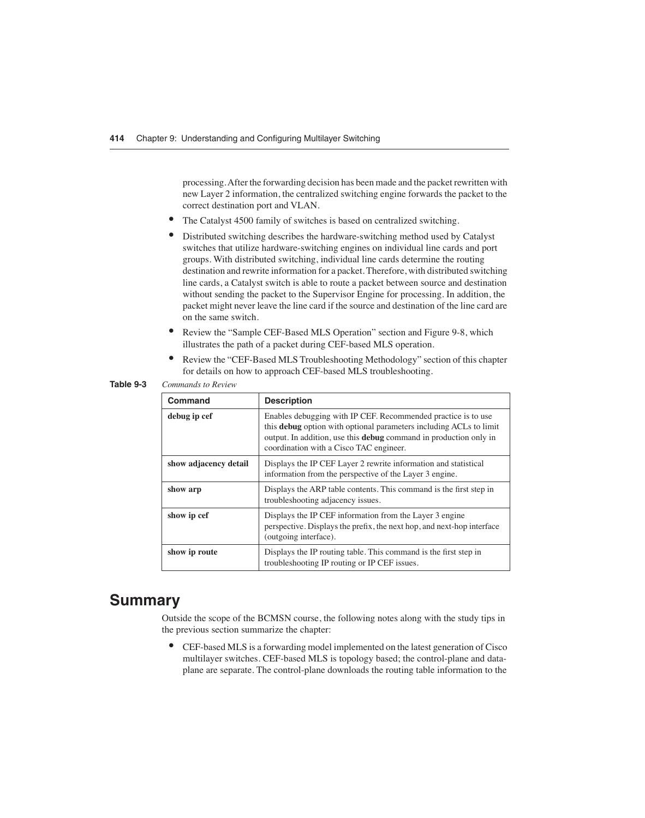processing. After the forwarding decision has been made and the packet rewritten with new Layer 2 information, the centralized switching engine forwards the packet to the correct destination port and VLAN.

- The Catalyst 4500 family of switches is based on centralized switching.
- Distributed switching describes the hardware-switching method used by Catalyst switches that utilize hardware-switching engines on individual line cards and port groups. With distributed switching, individual line cards determine the routing destination and rewrite information for a packet. Therefore, with distributed switching line cards, a Catalyst switch is able to route a packet between source and destination without sending the packet to the Supervisor Engine for processing. In addition, the packet might never leave the line card if the source and destination of the line card are on the same switch.
- Review the "Sample CEF-Based MLS Operation" section and Figure 9-8, which illustrates the path of a packet during CEF-based MLS operation.
- Review the "CEF-Based MLS Troubleshooting Methodology" section of this chapter for details on how to approach CEF-based MLS troubleshooting.

**Table 9-3** *Commands to Review*

| <b>Command</b>        | <b>Description</b>                                                                                                                                                                                                                                                |
|-----------------------|-------------------------------------------------------------------------------------------------------------------------------------------------------------------------------------------------------------------------------------------------------------------|
| debug ip cef          | Enables debugging with IP CEF. Recommended practice is to use<br>this <b>debug</b> option with optional parameters including ACLs to limit<br>output. In addition, use this <b>debug</b> command in production only in<br>coordination with a Cisco TAC engineer. |
| show adjacency detail | Displays the IP CEF Layer 2 rewrite information and statistical<br>information from the perspective of the Layer 3 engine.                                                                                                                                        |
| show arp              | Displays the ARP table contents. This command is the first step in<br>troubleshooting adjacency issues.                                                                                                                                                           |
| show ip cef           | Displays the IP CEF information from the Layer 3 engine<br>perspective. Displays the prefix, the next hop, and next-hop interface<br>(outgoing interface).                                                                                                        |
| show ip route         | Displays the IP routing table. This command is the first step in<br>troubleshooting IP routing or IP CEF issues.                                                                                                                                                  |

## **Summary**

Outside the scope of the BCMSN course, the following notes along with the study tips in the previous section summarize the chapter:

• CEF-based MLS is a forwarding model implemented on the latest generation of Cisco multilayer switches. CEF-based MLS is topology based; the control-plane and dataplane are separate. The control-plane downloads the routing table information to the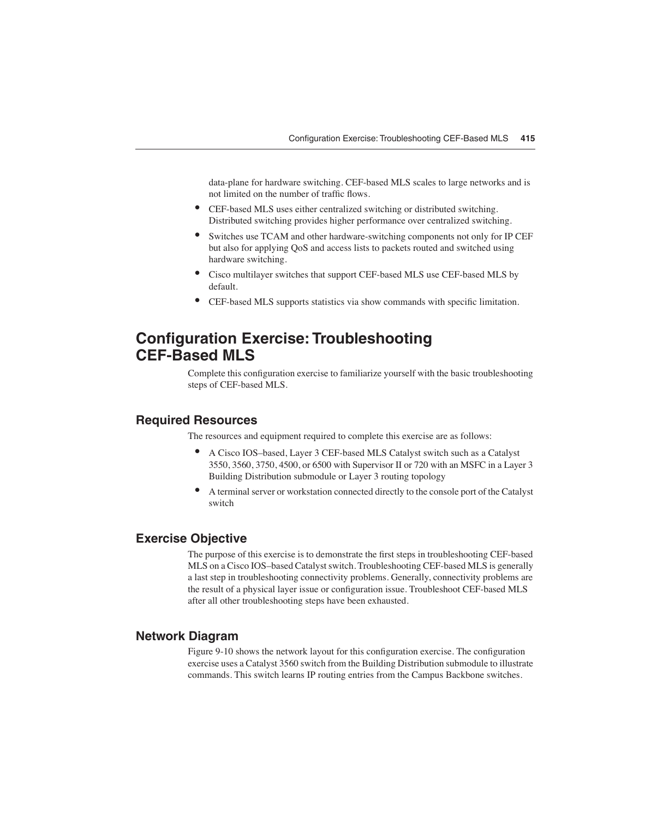data-plane for hardware switching. CEF-based MLS scales to large networks and is not limited on the number of traffic flows.

- CEF-based MLS uses either centralized switching or distributed switching. Distributed switching provides higher performance over centralized switching.
- Switches use TCAM and other hardware-switching components not only for IP CEF but also for applying QoS and access lists to packets routed and switched using hardware switching.
- Cisco multilayer switches that support CEF-based MLS use CEF-based MLS by default.
- CEF-based MLS supports statistics via show commands with specific limitation.

## **Configuration Exercise: Troubleshooting CEF-Based MLS**

Complete this configuration exercise to familiarize yourself with the basic troubleshooting steps of CEF-based MLS.

#### **Required Resources**

The resources and equipment required to complete this exercise are as follows:

- A Cisco IOS–based, Layer 3 CEF-based MLS Catalyst switch such as a Catalyst 3550, 3560, 3750, 4500, or 6500 with Supervisor II or 720 with an MSFC in a Layer 3 Building Distribution submodule or Layer 3 routing topology
- A terminal server or workstation connected directly to the console port of the Catalyst switch

#### **Exercise Objective**

The purpose of this exercise is to demonstrate the first steps in troubleshooting CEF-based MLS on a Cisco IOS–based Catalyst switch. Troubleshooting CEF-based MLS is generally a last step in troubleshooting connectivity problems. Generally, connectivity problems are the result of a physical layer issue or configuration issue. Troubleshoot CEF-based MLS after all other troubleshooting steps have been exhausted.

#### **Network Diagram**

Figure 9-10 shows the network layout for this configuration exercise. The configuration exercise uses a Catalyst 3560 switch from the Building Distribution submodule to illustrate commands. This switch learns IP routing entries from the Campus Backbone switches.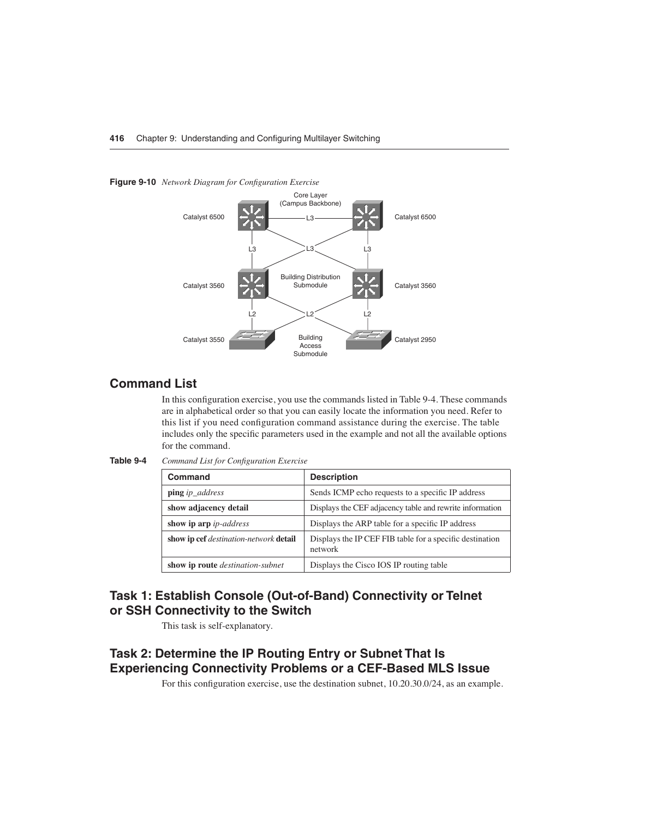**Figure 9-10** *Network Diagram for Configuration Exercise*



#### **Command List**

In this configuration exercise, you use the commands listed in Table 9-4. These commands are in alphabetical order so that you can easily locate the information you need. Refer to this list if you need configuration command assistance during the exercise. The table includes only the specific parameters used in the example and not all the available options for the command.

**Table 9-4** *Command List for Configuration Exercise*

| <b>Command</b>                                | <b>Description</b>                                                  |
|-----------------------------------------------|---------------------------------------------------------------------|
| $\mathbf{ping}$ ip_address                    | Sends ICMP echo requests to a specific IP address                   |
| show adjacency detail                         | Displays the CEF adjacency table and rewrite information            |
| show ip arp <i>ip-address</i>                 | Displays the ARP table for a specific IP address                    |
| show ip cef <i>destination-network</i> detail | Displays the IP CEF FIB table for a specific destination<br>network |
| show ip route <i>destination-subnet</i>       | Displays the Cisco IOS IP routing table                             |

## **Task 1: Establish Console (Out-of-Band) Connectivity or Telnet or SSH Connectivity to the Switch**

This task is self-explanatory.

## **Task 2: Determine the IP Routing Entry or Subnet That Is Experiencing Connectivity Problems or a CEF-Based MLS Issue**

For this configuration exercise, use the destination subnet, 10.20.30.0/24, as an example.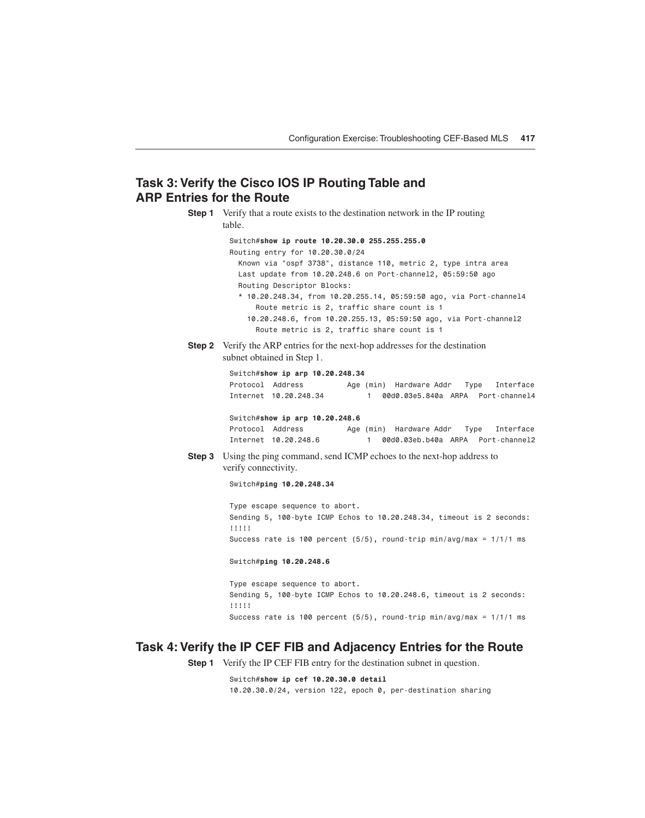#### **Task 3: Verify the Cisco IOS IP Routing Table and ARP Entries for the Route**

```
Step 1 Verify that a route exists to the destination network in the IP routing
       table.
         Switch#show ip route 10.20.30.0 255.255.255.0
         Routing entry for 10.20.30.0/24
            Known via "ospf 3738", distance 110, metric 2, type intra area
            Last update from 10.20.248.6 on Port-channel2, 05:59:50 ago
            Routing Descriptor Blocks:
            * 10.20.248.34, from 10.20.255.14, 05:59:50 ago, via Port-channel4
                Route metric is 2, traffic share count is 1
              10.20.248.6, from 10.20.255.13, 05:59:50 ago, via Port-channel2
                Route metric is 2, traffic share count is 1
Step 2 Verify the ARP entries for the next-hop addresses for the destination 
       subnet obtained in Step 1.
         Switch#show ip arp 10.20.248.34
         Protocol Address Age (min) Hardware Addr Type Interface
         Internet 10.20.248.34 1 00d0.03e5.840a ARPA Port-channel4
         Switch#show ip arp 10.20.248.6
         Protocol Address Age (min) Hardware Addr Type Interface
         Internet 10.20.248.6 1 00d0.03eb.b40a ARPA Port-channel2
Step 3 Using the ping command, send ICMP echoes to the next-hop address to
        verify connectivity. 
         Switch#ping 10.20.248.34
         Type escape sequence to abort.
         Sending 5, 100-byte ICMP Echos to 10.20.248.34, timeout is 2 seconds:
         !!!!!
         Success rate is 100 percent (5/5), round-trip min/avg/max = 1/1/1 ms
         Switch#ping 10.20.248.6
         Type escape sequence to abort.
         Sending 5, 100-byte ICMP Echos to 10.20.248.6, timeout is 2 seconds:
         !!!!!
         Success rate is 100 percent (5/5), round-trip min/avg/max = 1/1/1 ms
```
#### **Task 4: Verify the IP CEF FIB and Adjacency Entries for the Route**

**Step 1** Verify the IP CEF FIB entry for the destination subnet in question.

*Switch#show ip cef 10.20.30.0 detail 10.20.30.0/24, version 122, epoch 0, per-destination sharing*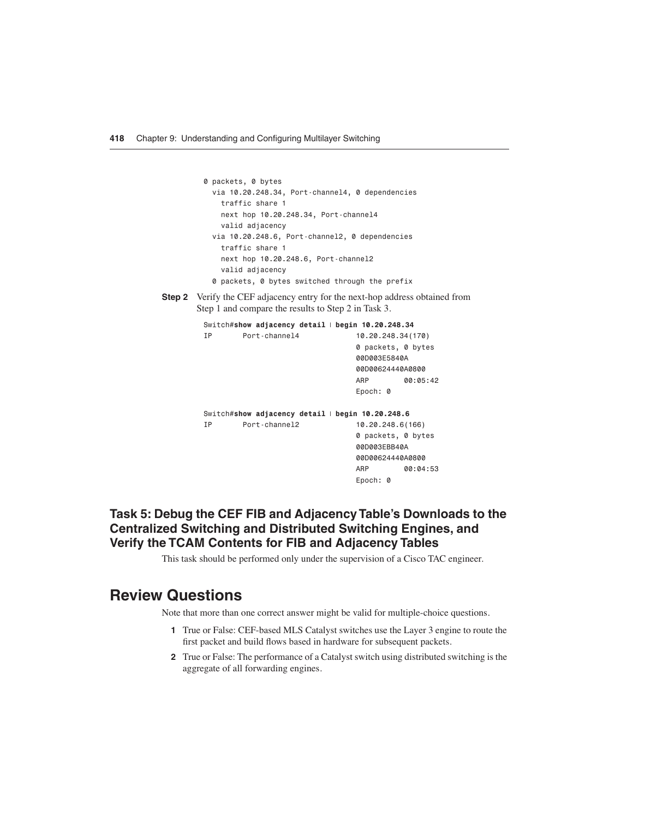```
0 packets, 0 bytes
  via 10.20.248.34, Port-channel4, 0 dependencies
    traffic share 1
    next hop 10.20.248.34, Port-channel4
    valid adjacency
   via 10.20.248.6, Port-channel2, 0 dependencies
    traffic share 1
    next hop 10.20.248.6, Port-channel2
    valid adjacency
   0 packets, 0 bytes switched through the prefix
```

```
Step 2 Verify the CEF adjacency entry for the next-hop address obtained from
        Step 1 and compare the results to Step 2 in Task 3.
```
*Switch#show adjacency detail* | *begin 10.20.248.34 IP Port-channel4 10.20.248.34(170) 0 packets, 0 bytes 00D003E5840A 00D00624440A0800*

*Switch#show adjacency detail* | *begin 10.20.248.6*

*IP Port-channel2 10.20.248.6(166)*

 *0 packets, 0 bytes 00D003EBB40A 00D00624440A0800 ARP 00:04:53 Epoch: 0*

 *ARP 00:05:42*

 *Epoch: 0*

## **Task 5: Debug the CEF FIB and Adjacency Table's Downloads to the Centralized Switching and Distributed Switching Engines, and Verify the TCAM Contents for FIB and Adjacency Tables**

This task should be performed only under the supervision of a Cisco TAC engineer.

## **Review Questions**

Note that more than one correct answer might be valid for multiple-choice questions.

- **1** True or False: CEF-based MLS Catalyst switches use the Layer 3 engine to route the first packet and build flows based in hardware for subsequent packets.
- **2** True or False: The performance of a Catalyst switch using distributed switching is the aggregate of all forwarding engines.